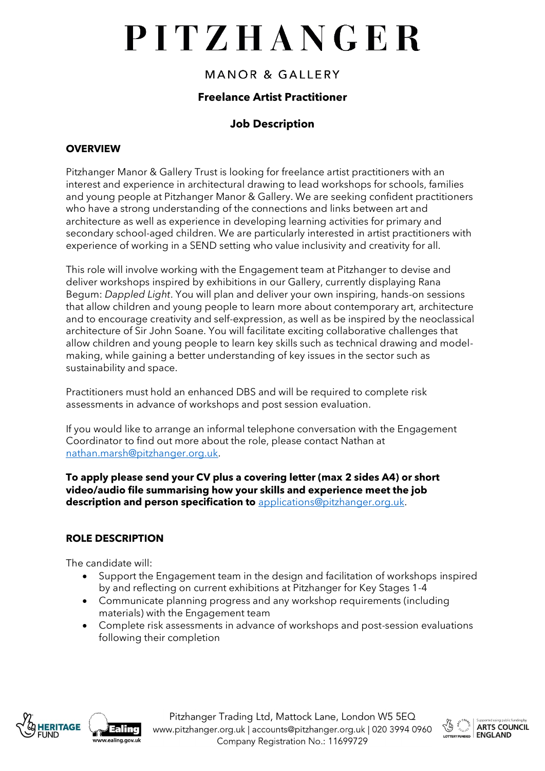# PITZHANGER

## **MANOR & GALLERY**

### **Freelance Artist Practitioner**

## **Job Description**

#### **OVERVIEW**

Pitzhanger Manor & Gallery Trust is looking for freelance artist practitioners with an interest and experience in architectural drawing to lead workshops for schools, families and young people at Pitzhanger Manor & Gallery. We are seeking confident practitioners who have a strong understanding of the connections and links between art and architecture as well as experience in developing learning activities for primary and secondary school-aged children. We are particularly interested in artist practitioners with experience of working in a SEND setting who value inclusivity and creativity for all.

This role will involve working with the Engagement team at Pitzhanger to devise and deliver workshops inspired by exhibitions in our Gallery, currently displaying Rana Begum: *Dappled Light*. You will plan and deliver your own inspiring, hands-on sessions that allow children and young people to learn more about contemporary art, architecture and to encourage creativity and self-expression, as well as be inspired by the neoclassical architecture of Sir John Soane. You will facilitate exciting collaborative challenges that allow children and young people to learn key skills such as technical drawing and modelmaking, while gaining a better understanding of key issues in the sector such as sustainability and space.

Practitioners must hold an enhanced DBS and will be required to complete risk assessments in advance of workshops and post session evaluation.

If you would like to arrange an informal telephone conversation with the Engagement Coordinator to find out more about the role, please contact Nathan at [nathan.marsh@pitzhanger.org.uk.](mailto:nathan.marsh@pitzhanger.org.uk)

**To apply please send your CV plus a covering letter (max 2 sides A4) or short video/audio file summarising how your skills and experience meet the job description and person specification to** [applications@pitzhanger.org.uk.](mailto:pitzhanger@pitzhanger.org.uk)

### **ROLE DESCRIPTION**

The candidate will:

- Support the Engagement team in the design and facilitation of workshops inspired by and reflecting on current exhibitions at Pitzhanger for Key Stages 1-4
- Communicate planning progress and any workshop requirements (including materials) with the Engagement team
- Complete risk assessments in advance of workshops and post-session evaluations following their completion